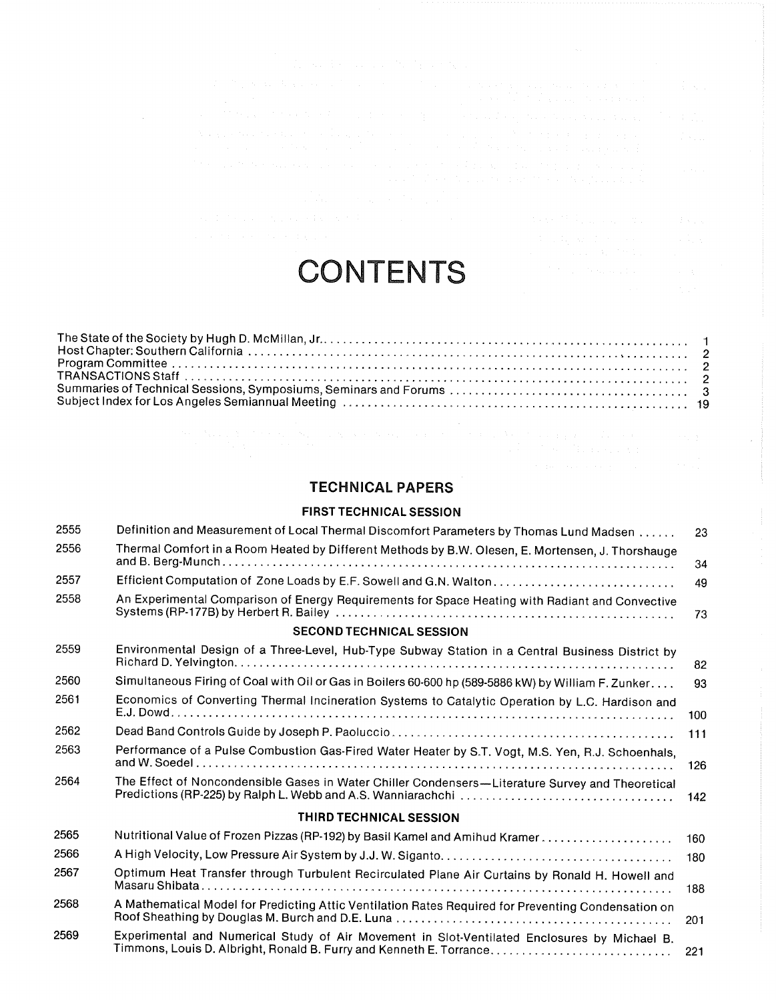| $\mathcal{L}^{\mathcal{L}}$ . The condition of the state of the following $\mathcal{L}^{\mathcal{L}}$ , we have the condition of                                                                                                                                                                                                                                                                                                                                                                                     |                                                                                                                                              |              |
|----------------------------------------------------------------------------------------------------------------------------------------------------------------------------------------------------------------------------------------------------------------------------------------------------------------------------------------------------------------------------------------------------------------------------------------------------------------------------------------------------------------------|----------------------------------------------------------------------------------------------------------------------------------------------|--------------|
| 医异常性 医神经病毒 医无子宫 医无子宫 医无子宫 医血管 医神经性血管 医血管神经 医血管 医骨质 医骨盆的<br>$\mathcal{L}^{\mathcal{L}}(\mathcal{L}^{\mathcal{L}}(\mathcal{L}^{\mathcal{L}}(\mathcal{L}^{\mathcal{L}}(\mathcal{L}^{\mathcal{L}}(\mathcal{L}^{\mathcal{L}}(\mathcal{L}^{\mathcal{L}}(\mathcal{L}^{\mathcal{L}}(\mathcal{L}^{\mathcal{L}}(\mathcal{L}^{\mathcal{L}}(\mathcal{L}^{\mathcal{L}}(\mathcal{L}^{\mathcal{L}}(\mathcal{L}^{\mathcal{L}}(\mathcal{L}^{\mathcal{L}}(\mathcal{L}^{\mathcal{L}}(\mathcal{L}^{\mathcal{L}}(\mathcal{L}^{\mathcal{L$ | $\mathcal{O}_{\mathcal{A}}$ , where $\mathcal{A}$ is the following and $\mathcal{A}$ , where $\mathcal{A}$ is the condition of $\mathcal{A}$ |              |
| a sa Maria a Mareka (1940) a shekarar 1980 a tsarin tsarin ƙwallon ƙafa ta ƙasar Nasar Nasar Nasar I                                                                                                                                                                                                                                                                                                                                                                                                                 |                                                                                                                                              | a Partido    |
| An experimental consideration of the construction of the first product of the product of the construction of the construction of the construction of the construction of the construction of the construction of the construct<br>a se construir a construir a construir a construir a construir a construir a construir a construir a construir                                                                                                                                                                     |                                                                                                                                              | and a state. |
| 医阴道性神经细胞 网络阿里亚洲 医阿里亚氏征 医骨状麻痹 医输入神经 医单位的 医血管<br>states of the contract of the contract of the contract of the contract of the contract of the contract of the                                                                                                                                                                                                                                                                                                                                                         |                                                                                                                                              | a series.    |
| $\mathcal{L}^{\mathcal{L}}$ , and the contribution of the contribution of the contribution of the contribution of the contribution of the contribution of the contribution of the contribution of the contribution of the contribution of                                                                                                                                                                                                                                                                            |                                                                                                                                              |              |
| ) and the mass of the angular contribution of the state of the state of the state of the state of the state of the state of the state of the state of the state of the state of the state of the state of the state of the st                                                                                                                                                                                                                                                                                        | a sa taon an t-Alba, a sa taon an t-                                                                                                         | diaman.      |
|                                                                                                                                                                                                                                                                                                                                                                                                                                                                                                                      | 医多发性病 化乙基苯甲基 医心包 医氯化物<br>100 A. 이 사이 시간 시간이 있는 것이 없는 것이 좋아하는 것이 없어요. 이 사이 시간이 있는 것이 있는                                                       |              |

# **CONTENTS**

## TECHNICAL PAPERS

#### FIRST TECHNICAL SESSION

| 2555 | Definition and Measurement of Local Thermal Discomfort Parameters by Thomas Lund Madsen             | 23  |
|------|-----------------------------------------------------------------------------------------------------|-----|
| 2556 | Thermal Comfort in a Room Heated by Different Methods by B.W. Olesen, E. Mortensen, J. Thorshauge   | 34  |
| 2557 | Efficient Computation of Zone Loads by E.F. Sowell and G.N. Walton                                  | 49  |
| 2558 | An Experimental Comparison of Energy Requirements for Space Heating with Radiant and Convective     | 73  |
|      | <b>SECOND TECHNICAL SESSION</b>                                                                     |     |
| 2559 | Environmental Design of a Three-Level, Hub-Type Subway Station in a Central Business District by    | 82  |
| 2560 | Simultaneous Firing of Coal with Oil or Gas in Boilers 60-600 hp (589-5886 kW) by William F. Zunker | 93  |
| 2561 | Economics of Converting Thermal Incineration Systems to Catalytic Operation by L.C. Hardison and    | 100 |
| 2562 |                                                                                                     | 111 |
| 2563 | Performance of a Pulse Combustion Gas-Fired Water Heater by S.T. Vogt, M.S. Yen, R.J. Schoenhals,   | 126 |
| 2564 | The Effect of Noncondensible Gases in Water Chiller Condensers-Literature Survey and Theoretical    | 142 |
|      | THIRD TECHNICAL SESSION                                                                             |     |
| 2565 | Nutritional Value of Frozen Pizzas (RP-192) by Basil Kamel and Amihud Kramer                        | 160 |
| 2566 |                                                                                                     | 180 |
| 2567 | Optimum Heat Transfer through Turbulent Recirculated Plane Air Curtains by Ronald H. Howell and     | 188 |
| 2568 | A Mathematical Model for Predicting Attic Ventilation Rates Required for Preventing Condensation on | 201 |
| 2569 | Experimental and Numerical Study of Air Movement in Slot-Ventilated Enclosures by Michael B.        | 221 |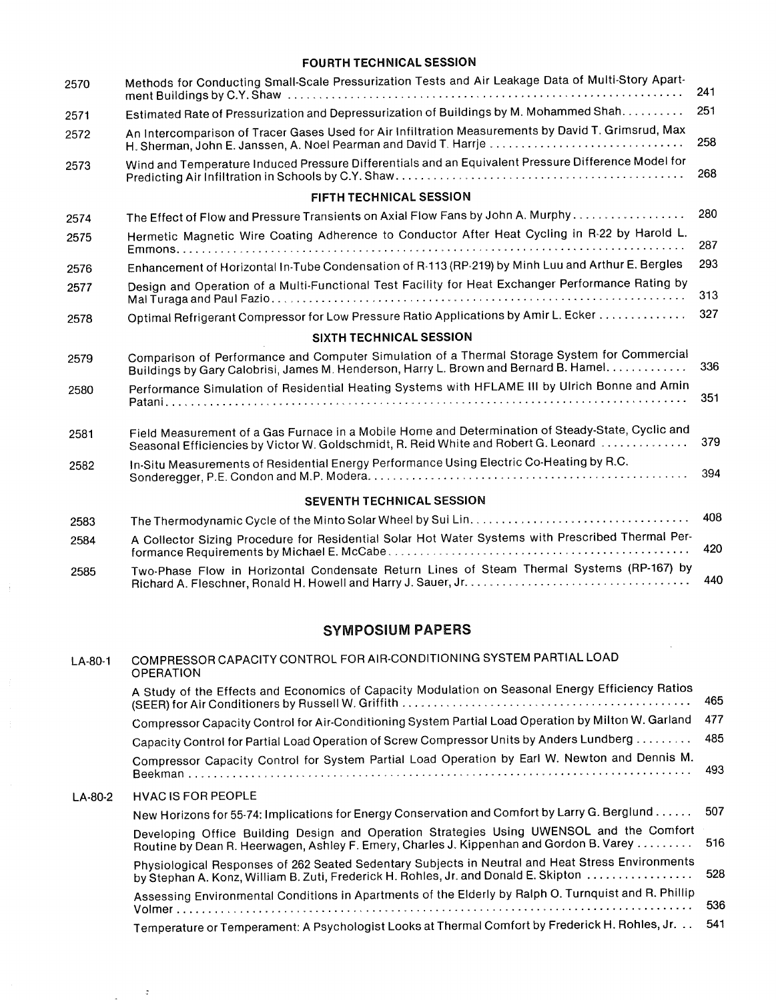#### FOURTH TECHNICAL SESSION

| 2570 | Methods for Conducting Small-Scale Pressurization Tests and Air Leakage Data of Multi-Story Apart-                                                                                       |
|------|------------------------------------------------------------------------------------------------------------------------------------------------------------------------------------------|
| 2571 | Estimated Rate of Pressurization and Depressurization of Buildings by M. Mohammed Shah.                                                                                                  |
| 2572 | An Intercomparison of Tracer Gases Used for Air Infiltration Measurements by David T. Grimsrud, Max<br>H. Sherman, John E. Janssen, A. Noel Pearman and David T. Harrje                  |
| 2573 | Wind and Temperature Induced Pressure Differentials and an Equivalent Pressure Difference Model for                                                                                      |
|      | FIFTH TECHNICAL SESSION                                                                                                                                                                  |
| 2574 | The Effect of Flow and Pressure Transients on Axial Flow Fans by John A. Murphy                                                                                                          |
| 2575 | Hermetic Magnetic Wire Coating Adherence to Conductor After Heat Cycling in R-22 by Harold L.                                                                                            |
| 2576 | Enhancement of Horizontal In-Tube Condensation of R-113 (RP-219) by Minh Luu and Arthur E. Bergles                                                                                       |
| 2577 | Design and Operation of a Multi-Functional Test Facility for Heat Exchanger Performance Rating by                                                                                        |
| 2578 | Optimal Refrigerant Compressor for Low Pressure Ratio Applications by Amir L. Ecker                                                                                                      |
|      | SIXTH TECHNICAL SESSION                                                                                                                                                                  |
| 2579 | Comparison of Performance and Computer Simulation of a Thermal Storage System for Commercial<br>Buildings by Gary Calobrisi, James M. Henderson, Harry L. Brown and Bernard B. Hamel.    |
| 2580 | Performance Simulation of Residential Heating Systems with HFLAME III by Ulrich Bonne and Amin                                                                                           |
| 2581 | Field Measurement of a Gas Furnace in a Mobile Home and Determination of Steady-State, Cyclic and<br>Seasonal Efficiencies by Victor W. Goldschmidt, R. Reid White and Robert G. Leonard |
| 2582 | In-Situ Measurements of Residential Energy Performance Using Electric Co-Heating by R.C.                                                                                                 |
|      | <b>SEVENTH TECHNICAL SESSION</b>                                                                                                                                                         |
| 2583 |                                                                                                                                                                                          |
| 2584 | A Collector Sizing Procedure for Residential Solar Hot Water Systems with Prescribed Thermal Per-                                                                                        |
| 2585 | Two-Phase Flow in Horizontal Condensate Return Lines of Steam Thermal Systems (RP-167) by                                                                                                |
|      |                                                                                                                                                                                          |

## SYMPOSIUM PAPERS

 $\langle \frac{1}{2} \rangle$ 

 $\langle z \rangle$ 

**Contract Contract** 

| $LA-80-1$ | COMPRESSOR CAPACITY CONTROL FOR AIR-CONDITIONING SYSTEM PARTIAL LOAD<br><b>OPERATION</b>                                                                                                |      |
|-----------|-----------------------------------------------------------------------------------------------------------------------------------------------------------------------------------------|------|
|           | A Study of the Effects and Economics of Capacity Modulation on Seasonal Energy Efficiency Ratios                                                                                        | 465  |
|           | Compressor Capacity Control for Air-Conditioning System Partial Load Operation by Milton W. Garland                                                                                     | 477  |
|           | Capacity Control for Partial Load Operation of Screw Compressor Units by Anders Lundberg                                                                                                | 485  |
|           | Compressor Capacity Control for System Partial Load Operation by Earl W. Newton and Dennis M.                                                                                           | 493  |
| LA-80-2   | <b>HVAC IS FOR PEOPLE</b>                                                                                                                                                               |      |
|           | New Horizons for 55-74: Implications for Energy Conservation and Comfort by Larry G. Berglund                                                                                           | -507 |
|           | Developing Office Building Design and Operation Strategies Using UWENSOL and the Comfort<br>Routine by Dean R. Heerwagen, Ashley F. Emery, Charles J. Kippenhan and Gordon B. Varey     | 516  |
|           | Physiological Responses of 262 Seated Sedentary Subjects in Neutral and Heat Stress Environments<br>by Stephan A. Konz, William B. Zuti, Frederick H. Rohles, Jr. and Donald E. Skipton | 528  |
|           | Assessing Environmental Conditions in Apartments of the Elderly by Ralph O. Turnquist and R. Phillip                                                                                    | 536  |
|           | Temperature or Temperament: A Psychologist Looks at Thermal Comfort by Frederick H. Rohles, Jr.                                                                                         | 541  |
|           |                                                                                                                                                                                         |      |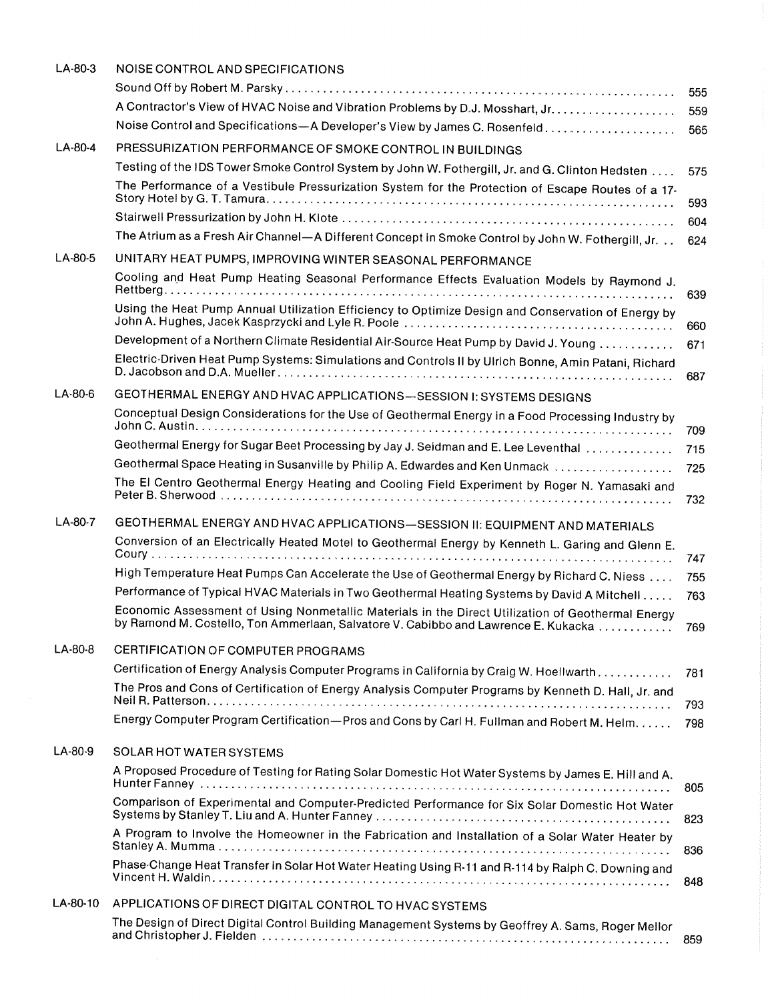| $LA-80-3$ | NOISE CONTROL AND SPECIFICATIONS                                                                                                                                                        |      |
|-----------|-----------------------------------------------------------------------------------------------------------------------------------------------------------------------------------------|------|
|           |                                                                                                                                                                                         | 555  |
|           | A Contractor's View of HVAC Noise and Vibration Problems by D.J. Mosshart, Jr.                                                                                                          | 559  |
|           | Noise Control and Specifications-A Developer's View by James C. Rosenfeld                                                                                                               | 565  |
| LA-80-4   | PRESSURIZATION PERFORMANCE OF SMOKE CONTROL IN BUILDINGS                                                                                                                                |      |
|           | Testing of the IDS Tower Smoke Control System by John W. Fothergill, Jr. and G. Clinton Hedsten                                                                                         | 575  |
|           | The Performance of a Vestibule Pressurization System for the Protection of Escape Routes of a 17-                                                                                       | 593  |
|           |                                                                                                                                                                                         | 604  |
|           | The Atrium as a Fresh Air Channel-A Different Concept in Smoke Control by John W. Fothergill, Jr.                                                                                       | 624  |
| LA-80-5   | UNITARY HEAT PUMPS, IMPROVING WINTER SEASONAL PERFORMANCE                                                                                                                               |      |
|           | Cooling and Heat Pump Heating Seasonal Performance Effects Evaluation Models by Raymond J.                                                                                              | 639  |
|           | Using the Heat Pump Annual Utilization Efficiency to Optimize Design and Conservation of Energy by                                                                                      | 660  |
|           | Development of a Northern Climate Residential Air-Source Heat Pump by David J. Young                                                                                                    | 671  |
|           | Electric-Driven Heat Pump Systems: Simulations and Controls II by Ulrich Bonne, Amin Patani, Richard                                                                                    | 687  |
| $LA-80-6$ | GEOTHERMAL ENERGY AND HVAC APPLICATIONS-SESSION I: SYSTEMS DESIGNS                                                                                                                      |      |
|           | Conceptual Design Considerations for the Use of Geothermal Energy in a Food Processing Industry by                                                                                      | 709  |
|           | Geothermal Energy for Sugar Beet Processing by Jay J. Seidman and E. Lee Leventhal                                                                                                      | 715  |
|           | Geothermal Space Heating in Susanville by Philip A. Edwardes and Ken Unmack                                                                                                             | 725  |
|           | The El Centro Geothermal Energy Heating and Cooling Field Experiment by Roger N. Yamasaki and                                                                                           | 732  |
| $LA-80-7$ | GEOTHERMAL ENERGY AND HVAC APPLICATIONS-SESSION II: EQUIPMENT AND MATERIALS                                                                                                             |      |
|           | Conversion of an Electrically Heated Motel to Geothermal Energy by Kenneth L. Garing and Glenn E.                                                                                       | 747  |
|           | High Temperature Heat Pumps Can Accelerate the Use of Geothermal Energy by Richard C. Niess                                                                                             | 755  |
|           | Performance of Typical HVAC Materials in Two Geothermal Heating Systems by David A Mitchell                                                                                             | 763  |
|           | Economic Assessment of Using Nonmetallic Materials in the Direct Utilization of Geothermal Energy<br>by Ramond M. Costello, Ton Ammerlaan, Salvatore V. Cabibbo and Lawrence E. Kukacka | 769. |
| $LA-80-8$ | CERTIFICATION OF COMPUTER PROGRAMS                                                                                                                                                      |      |
|           | Certification of Energy Analysis Computer Programs in California by Craig W. Hoellwarth                                                                                                 | 781  |
|           | The Pros and Cons of Certification of Energy Analysis Computer Programs by Kenneth D. Hall, Jr. and                                                                                     | 793  |
|           | Energy Computer Program Certification-Pros and Cons by Carl H. Fullman and Robert M. Helm.                                                                                              | 798  |
| LA-80-9   | SOLAR HOT WATER SYSTEMS                                                                                                                                                                 |      |
|           | A Proposed Procedure of Testing for Rating Solar Domestic Hot Water Systems by James E. Hill and A.                                                                                     | 805  |
|           | Comparison of Experimental and Computer-Predicted Performance for Six Solar Domestic Hot Water                                                                                          | 823  |
|           | A Program to Involve the Homeowner in the Fabrication and Installation of a Solar Water Heater by                                                                                       | 836  |
|           | Phase Change Heat Transfer in Solar Hot Water Heating Using R-11 and R-114 by Ralph C. Downing and                                                                                      | 848  |
| LA-80-10  | APPLICATIONS OF DIRECT DIGITAL CONTROL TO HVAC SYSTEMS                                                                                                                                  |      |
|           | The Design of Direct Digital Control Building Management Systems by Geoffrey A. Sams, Roger Mellor                                                                                      | 859  |
|           |                                                                                                                                                                                         |      |